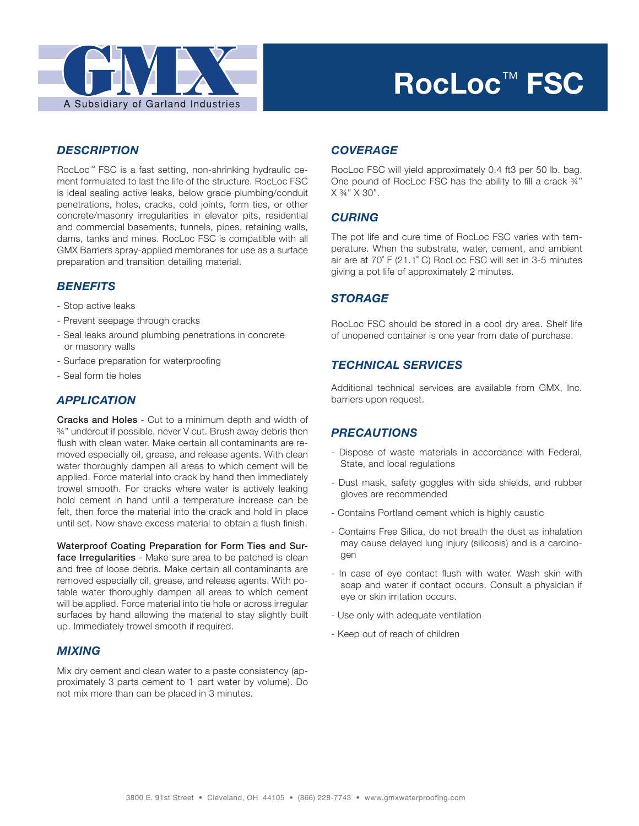

# **RocLoc**™ **FSC**

## *DESCRIPTION*

RocLoc™ FSC is a fast setting, non-shrinking hydraulic cement formulated to last the life of the structure. RocLoc FSC is ideal sealing active leaks, below grade plumbing/conduit penetrations, holes, cracks, cold joints, form ties, or other concrete/masonry irregularities in elevator pits, residential and commercial basements, tunnels, pipes, retaining walls, dams, tanks and mines. RocLoc FSC is compatible with all GMX Barriers spray-applied membranes for use as a surface preparation and transition detailing material.

## *BENEFITS*

- Stop active leaks
- Prevent seepage through cracks
- Seal leaks around plumbing penetrations in concrete or masonry walls
- Surface preparation for waterproofing
- Seal form tie holes

## *APPLICATION*

Cracks and Holes - Cut to a minimum depth and width of ¾" undercut if possible, never V cut. Brush away debris then flush with clean water. Make certain all contaminants are removed especially oil, grease, and release agents. With clean water thoroughly dampen all areas to which cement will be applied. Force material into crack by hand then immediately trowel smooth. For cracks where water is actively leaking hold cement in hand until a temperature increase can be felt, then force the material into the crack and hold in place until set. Now shave excess material to obtain a flush finish.

Waterproof Coating Preparation for Form Ties and Surface Irregularities - Make sure area to be patched is clean and free of loose debris. Make certain all contaminants are removed especially oil, grease, and release agents. With potable water thoroughly dampen all areas to which cement will be applied. Force material into tie hole or across irregular surfaces by hand allowing the material to stay slightly built up. Immediately trowel smooth if required.

## *MIXING*

Mix dry cement and clean water to a paste consistency (approximately 3 parts cement to 1 part water by volume). Do not mix more than can be placed in 3 minutes.

## *COVERAGE*

RocLoc FSC will yield approximately 0.4 ft3 per 50 lb. bag. One pound of RocLoc FSC has the ability to fill a crack ¾"  $X 3/4" X 30"$ .

#### *CURING*

The pot life and cure time of RocLoc FSC varies with temperature. When the substrate, water, cement, and ambient air are at 70˚ F (21.1˚ C) RocLoc FSC will set in 3-5 minutes giving a pot life of approximately 2 minutes.

## *STORAGE*

RocLoc FSC should be stored in a cool dry area. Shelf life of unopened container is one year from date of purchase.

#### *TECHNICAL SERVICES*

Additional technical services are available from GMX, Inc. barriers upon request.

## *PRECAUTIONS*

- Dispose of waste materials in accordance with Federal, State, and local regulations
- Dust mask, safety goggles with side shields, and rubber gloves are recommended
- Contains Portland cement which is highly caustic
- Contains Free Silica, do not breath the dust as inhalation may cause delayed lung injury (silicosis) and is a carcinogen
- In case of eye contact flush with water. Wash skin with soap and water if contact occurs. Consult a physician if eye or skin irritation occurs.
- Use only with adequate ventilation
- Keep out of reach of children